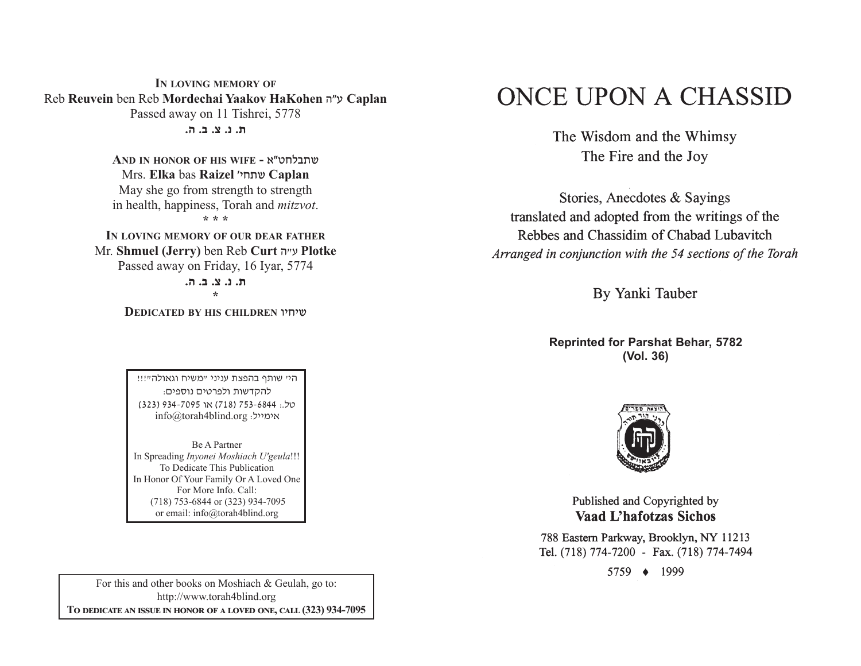**IN LOVING MEMORY OF** Reb **Reuvein** ben Reb **Mordechai Yaakov HaKohen** v"g **Caplan**  Passed away on 11 Tishrei, 5778 **/v /c /m /b /,**

> **AND IN HONOR OF HIS WIFE -** t"yjkc,a Mrs. **Elka** bas **Raizel** whj,a **Caplan** May she go from strength to strength in health, happiness, Torah and *mitzvot*. **\* \* \***

**IN LOVING MEMORY OF OUR DEAR FATHER** Mr. **Shmuel (Jerry)** ben Reb **Curt** <sup>v</sup>"g **Plotke** Passed away on Friday, 16 Iyar, 5774 **/v /c /m /b /,** 

**\*** 

**DEDICATED BY HIS CHILDREN** uhjha

היי שותף בהפצת עניני "משיח וגאולה"!!! להקדשות ולפרטים נוספים: (323) 934-7095 (718) 353-6844 (323) info@torah4blind.org אימייל:

Be A PartnerIn Spreading *Inyonei Moshiach U'geula*!!! To Dedicate This Publication In Honor Of Your Family Or A Loved One For More Info. Call: (718) 753-6844 or (323) 934-7095 or email: info@torah4blind.org

For this and other books on Moshiach & Geulah, go to: http://www.torah4blind.org  $\bf{To \textbf{ DEDICATE \textbf{AN} \textbf{ ISSUE} \textbf{IN} \textbf{ HONOR} \textbf{OF} \textbf{A} \textbf{ LOVED} \textbf{ONE}, \textbf{CALL} \textbf{(323) } 934\textbf{-7095}}$ 

# ONCE UPON A CHASSID

The Wisdom and the Whimsy The Fire and the Joy

Stories, Anecdotes & Sayings translated and adopted from the writings of the Rebbes and Chassidim of Chabad Lubavitch Arranged in conjunction with the 54 sections of the Torah

By Yanki Tauber

**Reprinted for Parshat Behar, 5782 (Vol. 36)**



Published and Copyrighted by **Vaad L'hafotzas Sichos** 

788 Eastern Parkway, Brooklyn, NY 11213 Tel. (718) 774-7200 - Fax. (718) 774-7494

5759 ♦ 1999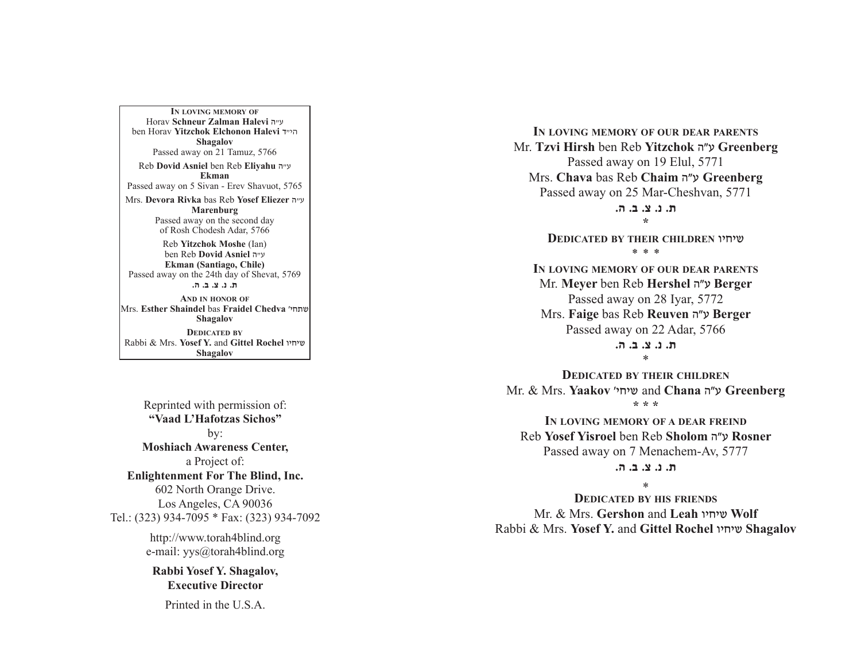**IN LOVING MEMORY OF**Horav **Schneur Zalman Halevi** v"g ben Horav **Yitzchok Elchonon Halevi** s"hv**Shagalov** Passed away on 21 Tamuz, 5766 Reb **Dovid Asniel** ben Reb **Eliyahu** <sup>v</sup>"g **Ekman**Passed away on 5 Sivan - Erev Shavuot, 5765 Mrs. **Devora Rivka** bas Reb **Yosef Eliezer** v"g **Marenburg** Passed away on the second day of Rosh Chodesh Adar, 5766 Reb **Yitzchok Moshe** (Ian) ben Reb **Dovid Asniel** v"g **Ekman (Santiago, Chile)** Passed away on the 24th day of Shevat, 5769 **/v /c /m /b /,**

**AND IN HONOR OF**Mrs. **Esther Shaindel** bas **Fraidel Chedva** whj,a**Shagalov DEDICATED BY**Rabbi & Mrs. **Yosef Y.** and **Gittel Rochel** uhjha**Shagalov**

Reprinted with permission of: **"Vaad L'Hafotzas Sichos"**by: **Moshiach Awareness Center,** a Project of: **Enlightenment For The Blind, Inc.** 602 North Orange Drive. Los Angeles, CA 90036 Tel.: (323) 934-7095 \* Fax: (323) 934-7092

http://www.torah4blind.org e-mail: yys@torah4blind.org

**Rabbi Yosef Y. Shagalov, Executive Director**

Printed in the U.S.A.

**IN LOVING MEMORY OF OUR DEAR PARENTS** Mr. **Tzvi Hirsh** ben Reb **Yitzchok** <sup>v</sup>"g **Greenberg** Passed away on 19 Elul, 5771 Mrs. **Chava** bas Reb **Chaim** <sup>v</sup>"g **Greenberg**  Passed away on 25 Mar-Cheshvan, 5771 **/v /c /m /b /, \* DEDICATED BY THEIR CHILDREN** uhjha \* \* \* **IN LOVING MEMORY OF OUR DEAR PARENTS** Mr. **Meyer** ben Reb **Hershel** <sup>v</sup>"g **Berger**  Passed away on 28 Iyar, 5772 Mrs. **Faige** bas Reb **Reuven** <sup>v</sup>"g **Berger**  Passed away on 22 Adar, 5766 **/v /c /m /b /,**\* **DEDICATED BY THEIR CHILDREN** Mr. & Mrs. **Yaakov** whjha and **Chana** v"g **Greenberg \* \* \* IN LOVING MEMORY OF A DEAR FREIND** Reb **Yosef Yisroel** ben Reb **Sholom** vWg **Rosner**  Passed away on 7 Menachem-Av, 5777 **/v /c /m /b /,**

\*

**DEDICATED BY HIS FRIENDS** Mr. & Mrs. **Gershon** and **Leah** uhjha **Wolf**  Rabbi & Mrs. **Yosef Y.** and **Gittel Rochel** uhjha **Shagalov**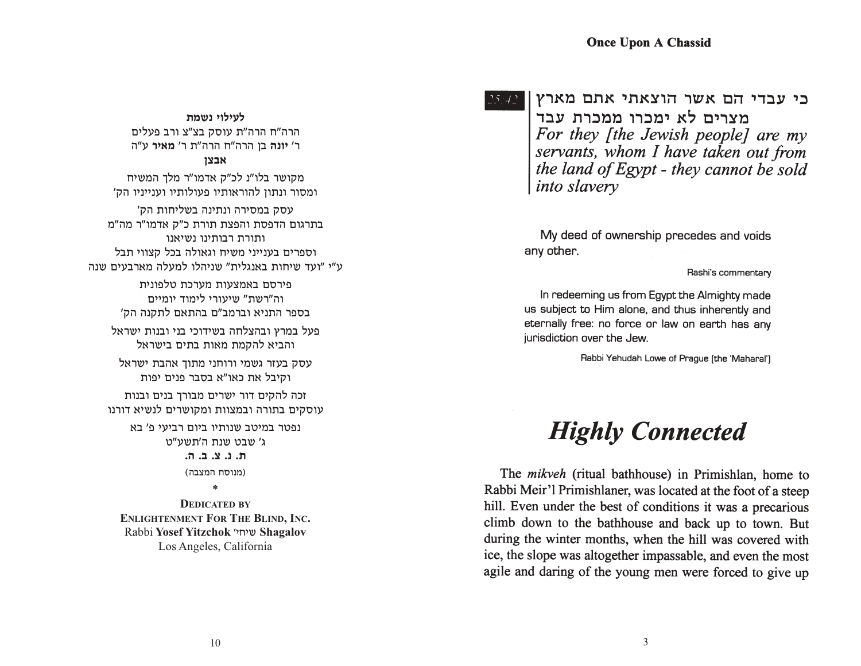$25:42$ 

כי עבדי הם אשר הוצאתי אתם מארץ מצרים לא ימכרו ממכרת עבד For they [the Jewish people] are my servants, whom I have taken out from the land of Egypt - they cannot be sold *into slavery* 

My deed of ownership precedes and voids any other.

Rashi's commentary

In redeeming us from Egypt the Almighty made us subject to Him alone, and thus inherently and eternally free: no force or law on earth has any jurisdiction over the Jew.

Rabbi Yehudah Lowe of Prague (the 'Maharal')

# **Highly Connected**

The *mikveh* (ritual bathhouse) in Primishlan, home to Rabbi Meir'l Primishlaner, was located at the foot of a steep hill. Even under the best of conditions it was a precarious climb down to the bathhouse and back up to town. But during the winter months, when the hill was covered with ice, the slope was altogether impassable, and even the most agile and daring of the young men were forced to give up

**לעילוי נשמת** הרה"ח הרה"ת עוסק בצ"צ ורב פעלים

ר' **יונה** בן הרה"ח הרה"ת ר' **מאיר** ע"ה **אבצו** 

מקושר בלו"נ לכ"ק אדמו"ר מלך המשיח ומסור ונתון להוראותיו פעולותיו וענייניו הק'

עסק במסירה ונתינה בשליחות הק' בתרגום הדפסת והפצת תורת כ"ק אדמו"ר מה"מ ותורת רבותינו נשיאנו וספרים בענייני משיח וגאולה בכל קצווי תבל ע"י "ועד שיחות באנגלית" שניהלו למעלה מארבעים שנה

> פירסם באמצעות מערכת טלפונית וה"רשת" שיעורי לימוד יומיים בספר התניא וברמב״ם בהתאם לתקנה הק׳

פעל במרץ ובהצלחה בשידוכי בני ובנות ישראל והביא להקמת מאות בתים בישראל

עסק בעזר גשמי ורוחני מתוך אהבת ישראל וקיבל את כאו"א בסבר פנים יפות

זכה להקים דור ישרים מבורך בנים ובנות עוסקים בתורה ובמצוות ומקושרים לנשיא דורנו

> נפטר במיטב שנותיו ביום רביעי פ' בא ג' שבט שנת ה'תשע"ט **ת. נ. צ. ב. ה.** (מנוסח המצבה)

> > **\***

**DEDICATED BYENLIGHTENMENTFORTHEBLIND, INC.** Rabbi **Yosef Yitzchok** whjha **Shagalov** Los Angeles, California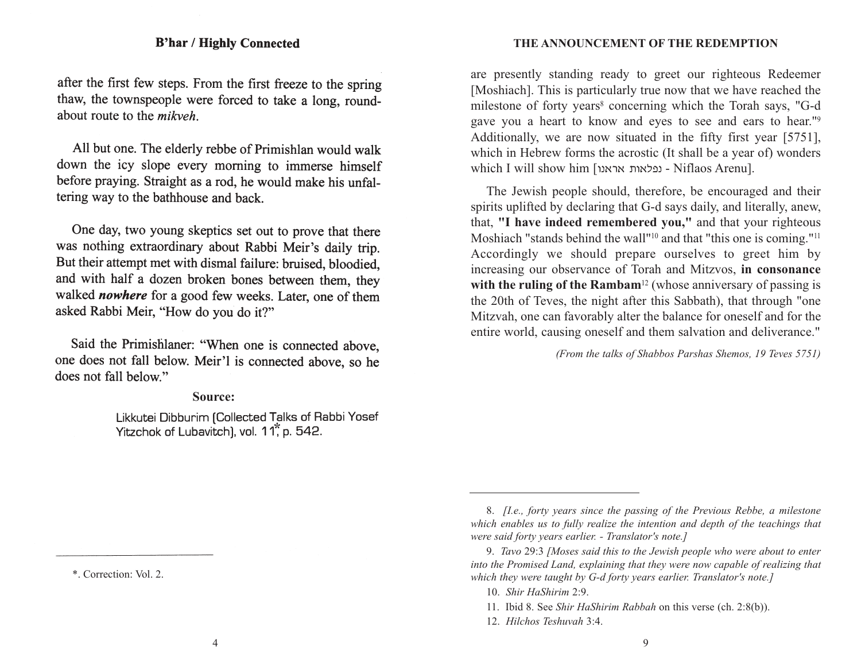after the first few steps. From the first freeze to the spring thaw, the townspeople were forced to take a long, roundabout route to the *mikveh* 

All but one. The elderly rebbe of Primishlan would walk down the icy slope every morning to immerse himself before praying. Straight as a rod, he would make his unfaltering way to the bathhouse and back.

One day, two young skeptics set out to prove that there was nothing extraordinary about Rabbi Meir's daily trip. But their attempt met with dismal failure: bruised, bloodied, and with half a dozen broken bones between them, they walked nowhere for a good few weeks. Later, one of them asked Rabbi Meir, "How do you do it?"

Said the Primishlaner: "When one is connected above, one does not fall below. Meir'l is connected above, so he does not fall below."

### **Source:**

Likkutei Dibburim [Collected Talks of Rabbi Yosef **\***

**THE ANNOUNCEMENT OF THE REDEMPTION**

are presently standing ready to greet our righteous Redeemer [Moshiach]. This is particularly true now that we have reached the milestone of forty years<sup>8</sup> concerning which the Torah says, "G-d gave you a heart to know and eyes to see and ears to hear."9 Additionally, we are now situated in the fifty first year [5751], which in Hebrew forms the acrostic (It shall be a year of) wonders which I will show him [עפלאות אראנו - Niflaos Arenu].

The Jewish people should, therefore, be encouraged and their spirits uplifted by declaring that G-d says daily, and literally, anew, that, **"I have indeed remembered you,"** and that your righteous Moshiach "stands behind the wall"<sup>10</sup> and that "this one is coming."<sup>11</sup> Accordingly we should prepare ourselves to greet him by increasing our observance of Torah and Mitzvos, **in consonance** with the ruling of the Rambam<sup>12</sup> (whose anniversary of passing is the 20th of Teves, the night after this Sabbath), that through "one Mitzvah, one can favorably alter the balance for oneself and for the entire world, causing oneself and them salvation and deliverance."

*(From the talks of Shabbos Parshas Shemos, 19 Teves 5751)*

12. *Hilchos Teshuvah* 3:4.

<sup>8.</sup> *[I.e., forty years since the passing of the Previous Rebbe, a milestone which enables us to fully realize the intention and depth of the teachings that were said forty years earlier. - Translator's note.]*

<sup>9.</sup> *Tavo* 29:3 *[Moses said this to the Jewish people who were about to enter into the Promised Land, explaining that they were now capable of realizing that which they were taught by G-d forty years earlier. Translator's note.]*

<sup>10.</sup> *Shir HaShirim* 2:9.

<sup>11.</sup> Ibid 8. See *Shir HaShirim Rabbah* on this verse (ch. 2:8(b)).

<sup>\*.</sup> Correction: Vol. 2.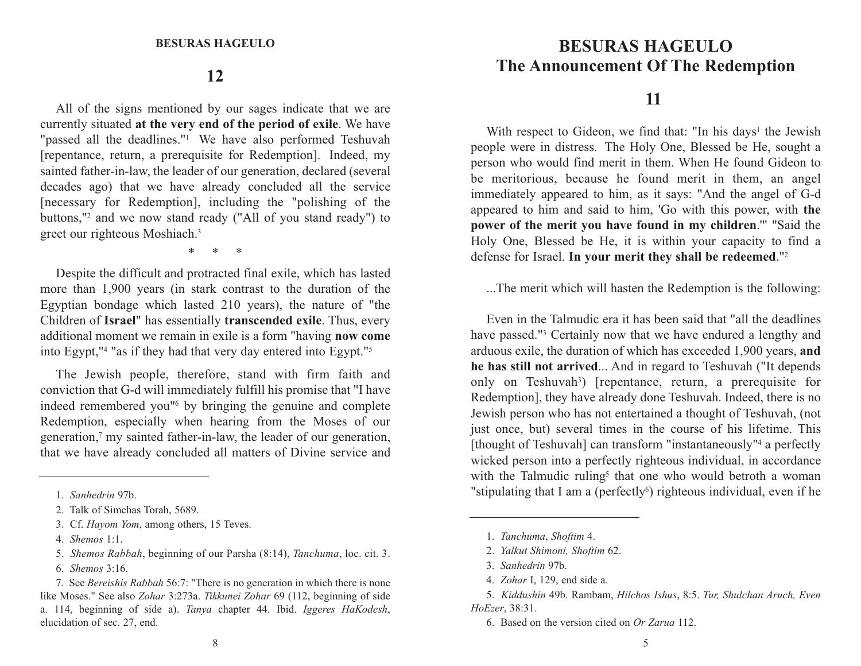## **12**

All of the signs mentioned by our sages indicate that we are currently situated **at the very end of the period of exile**. We have "passed all the deadlines."<sup>1</sup> We have also performed Teshuvah [repentance, return, a prerequisite for Redemption]. Indeed, my sainted father-in-law, the leader of our generation, declared (several decades ago) that we have already concluded all the service [necessary for Redemption], including the "polishing of the buttons,"2 and we now stand ready ("All of you stand ready") to greet our righteous Moshiach.3

\*     \*     \*

Despite the difficult and protracted final exile, which has lasted more than 1,900 years (in stark contrast to the duration of the Egyptian bondage which lasted 210 years), the nature of "the Children of **Israel**" has essentially **transcended exile**. Thus, every additional moment we remain in exile is a form "having **now come** into Egypt,"4 "as if they had that very day entered into Egypt."5

The Jewish people, therefore, stand with firm faith and conviction that G-d will immediately fulfill his promise that "I have indeed remembered you"6 by bringing the genuine and complete Redemption, especially when hearing from the Moses of our generation,7 my sainted father-in-law, the leader of our generation, that we have already concluded all matters of Divine service and

- 4. *Shemos* 1:1.
- 5. *Shemos Rabbah*, beginning of our Parsha (8:14), *Tanchuma*, loc. cit. 3. 6. *Shemos* 3:16.

# **THE BESURAS HAGEULO The Announcement Of The Redemption**

## **11**

With respect to Gideon, we find that: "In his days<sup>1</sup> the Jewish people were in distress. The Holy One, Blessed be He, sought a person who would find merit in them. When He found Gideon to be meritorious, because he found merit in them, an angel immediately appeared to him, as it says: "And the angel of G-d appeared to him and said to him, 'Go with this power, with **the power of the merit you have found in my children**.'" "Said the Holy One, Blessed be He, it is within your capacity to find a defense for Israel. **In your merit they shall be redeemed**."2

...The merit which will hasten the Redemption is the following:

Even in the Talmudic era it has been said that "all the deadlineshave passed."<sup>3</sup> Certainly now that we have endured a lengthy and arduous exile, the duration of which has exceeded 1,900 years, **and he has still not arrived**... And in regard to Teshuvah ("It depends only on Teshuvah<sup>3</sup>) [repentance, return, a prerequisite for Redemption], they have already done Teshuvah. Indeed, there is no Jewish person who has not entertained a thought of Teshuvah, (not just once, but) several times in the course of his lifetime. This [thought of Teshuvah] can transform "instantaneously"<sup>4</sup> a perfectly wicked person into a perfectly righteous individual, in accordance with the Talmudic ruling<sup>5</sup> that one who would betroth a woman "stipulating that I am a (perfectly $\delta$ ) righteous individual, even if he

- 1. *Tanchuma*, *Shoftim* 4.
- 2. *Yalkut Shimoni, Shoftim* 62.
- 3. *Sanhedrin* 97b.
- 4. *Zohar* I, 129, end side a.

<sup>1.</sup> *Sanhedrin* 97b.

<sup>2.</sup> Talk of Simchas Torah, 5689.

<sup>3.</sup> Cf. *Hayom Yom*, among others, 15 Teves.

<sup>7.</sup> See *Bereishis Rabbah* 56:7: "There is no generation in which there is none like Moses." See also *Zohar* 3:273a. *Tikkunei Zohar* 69 (112, beginning of side a. 114, beginning of side a). *Tanya* chapter 44. Ibid. *Iggeres HaKodesh*, elucidation of sec. 27, end.

<sup>5.</sup> *Kiddushin* 49b. Rambam, *Hilchos Ishus*, 8:5. *Tur, Shulchan Aruch, Even HoEzer*, 38:31.

<sup>6.</sup> Based on the version cited on *Or Zarua* 112.